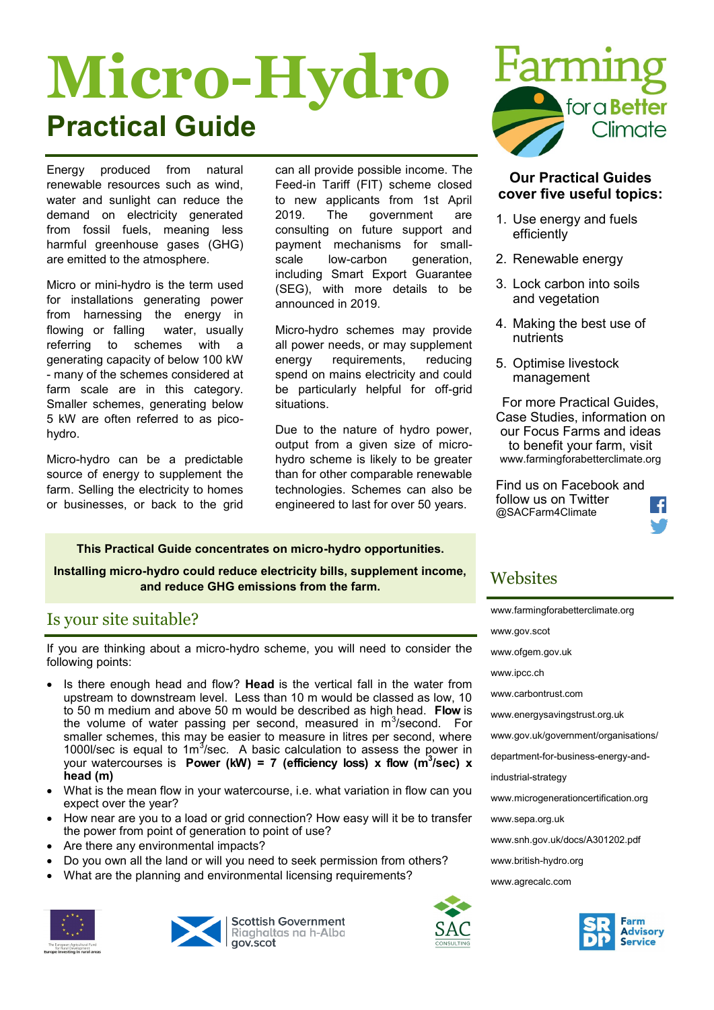# **Micro-Hydro Practical Guide**

Energy produced from natural renewable resources such as wind, water and sunlight can reduce the demand on electricity generated from fossil fuels, meaning less harmful greenhouse gases (GHG) are emitted to the atmosphere.

Micro or mini-hydro is the term used for installations generating power from harnessing the energy in flowing or falling water, usually referring to schemes with a generating capacity of below 100 kW - many of the schemes considered at farm scale are in this category. Smaller schemes, generating below 5 kW are often referred to as picohydro.

Micro-hydro can be a predictable source of energy to supplement the farm. Selling the electricity to homes or businesses, or back to the grid can all provide possible income. The Feed-in Tariff (FIT) scheme closed to new applicants from 1st April 2019. The government are consulting on future support and payment mechanisms for smallscale low-carbon generation. including Smart Export Guarantee (SEG), with more details to be announced in 2019.

Micro-hydro schemes may provide all power needs, or may supplement energy requirements, reducing spend on mains electricity and could be particularly helpful for off-grid situations.

Due to the nature of hydro power, output from a given size of microhydro scheme is likely to be greater than for other comparable renewable technologies. Schemes can also be engineered to last for over 50 years.

**This Practical Guide concentrates on micro-hydro opportunities.** 

**Installing micro-hydro could reduce electricity bills, supplement income, and reduce GHG emissions from the farm.**

# Is your site suitable?

If you are thinking about a micro-hydro scheme, you will need to consider the following points:

- Is there enough head and flow? **Head** is the vertical fall in the water from upstream to downstream level. Less than 10 m would be classed as low, 10 to 50 m medium and above 50 m would be described as high head. **Flow** is the volume of water passing per second, measured in  $\overline{m}^3$ /second. For smaller schemes, this may be easier to measure in litres per second, where 1000l/sec is equal to  $1m^3$ /sec. A basic calculation to assess the power in your watercourses is **Power (kW) = 7 (efficiency loss) x flow (m<sup>3</sup> /sec) x head (m)**
- What is the mean flow in your watercourse, i.e. what variation in flow can you expect over the year?
- How near are you to a load or grid connection? How easy will it be to transfer the power from point of generation to point of use?
- Are there any environmental impacts?
- Do you own all the land or will you need to seek permission from others?
- What are the planning and environmental licensing requirements?





**Scottish Government** Riaghaltas na h-Alba gov.scot



#### **Our Practical Guides cover five useful topics:**

- 1. Use energy and fuels efficiently
- 2. Renewable energy
- 3. Lock carbon into soils and vegetation
- 4. Making the best use of nutrients
- 5. Optimise livestock management

For more Practical Guides, Case Studies, information on our Focus Farms and ideas to benefit your farm, visit www.farmingforabetterclimate.org

Find us on Facebook and follow us on Twitter @SACFarm4Climate



# **Websites**

| www.farmingforabetterclimate.org     |
|--------------------------------------|
| www.gov.scot                         |
| www.ofgem.gov.uk                     |
| www.ipcc.ch                          |
| www.carbontrust.com                  |
| www.energysavingstrust.org.uk        |
| www.gov.uk/government/organisations/ |
| department-for-business-energy-and-  |
| industrial-strategy                  |
| www.microgenerationcertification.org |
| www.sepa.org.uk                      |
| www.snh.gov.uk/docs/A301202.pdf      |
| www.british-hydro.org                |
| www.agrecalc.com                     |
|                                      |
|                                      |